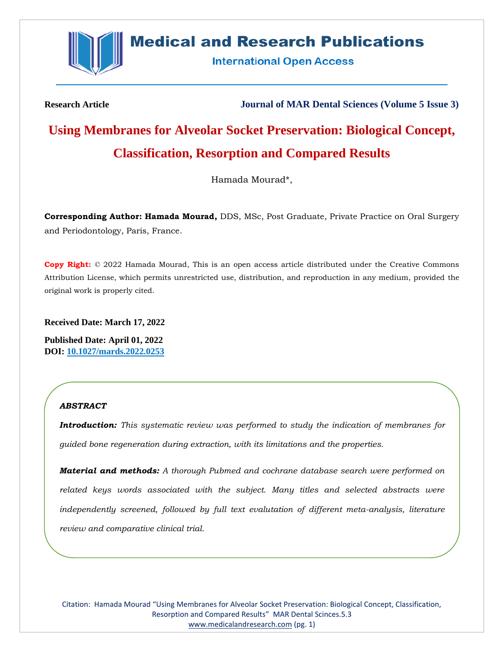

# **Medical and Research Publications**

**International Open Access** 

**Research Article Journal of MAR Dental Sciences (Volume 5 Issue 3)**

# **Using Membranes for Alveolar Socket Preservation: Biological Concept, Classification, Resorption and Compared Results**

Hamada Mourad\*,

**Corresponding Author: Hamada Mourad,** DDS, MSc, Post Graduate, Private Practice on Oral Surgery and Periodontology, Paris, France.

**Copy Right:** © 2022 Hamada Mourad, This is an open access article distributed under the Creative Commons Attribution License, which permits unrestricted use, distribution, and reproduction in any medium, provided the original work is properly cited.

**Received Date: March 17, 2022**

**Published Date: April 01, 2022 DOI: 10.1027/mards.2022.0253**

# *ABSTRACT*

*Introduction: This systematic review was performed to study the indication of membranes for guided bone regeneration during extraction, with its limitations and the properties.*

*Material and methods: A thorough Pubmed and cochrane database search were performed on related keys words associated with the subject. Many titles and selected abstracts were independently screened, followed by full text evalutation of different meta-analysis, literature review and comparative clinical trial.*

Citation: Hamada Mourad "Using Membranes for Alveolar Socket Preservation: Biological Concept, Classification, Resorption and Compared Results" MAR Dental Scinces.5.3 [www.medicalandresearch.com](http://www.medicalandresearch.com/) (pg. 1)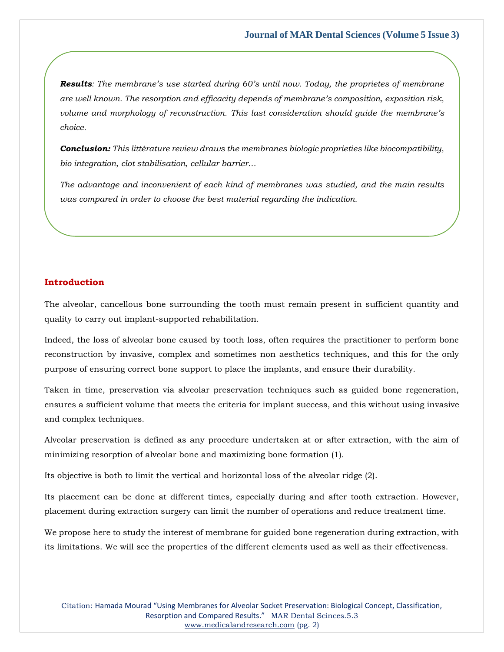*Results: The membrane's use started during 60's until now. Today, the proprietes of membrane are well known. The resorption and efficacity depends of membrane's composition, exposition risk, volume and morphology of reconstruction. This last consideration should guide the membrane's choice.*

*Conclusion: This littérature review draws the membranes biologic proprieties like biocompatibility, bio integration, clot stabilisation, cellular barrier…*

*The advantage and inconvenient of each kind of membranes was studied, and the main results was compared in order to choose the best material regarding the indication.*

## **Introduction**

The alveolar, cancellous bone surrounding the tooth must remain present in sufficient quantity and quality to carry out implant-supported rehabilitation.

Indeed, the loss of alveolar bone caused by tooth loss, often requires the practitioner to perform bone reconstruction by invasive, complex and sometimes non aesthetics techniques, and this for the only purpose of ensuring correct bone support to place the implants, and ensure their durability.

Taken in time, preservation via alveolar preservation techniques such as guided bone regeneration, ensures a sufficient volume that meets the criteria for implant success, and this without using invasive and complex techniques.

Alveolar preservation is defined as any procedure undertaken at or after extraction, with the aim of minimizing resorption of alveolar bone and maximizing bone formation (1).

Its objective is both to limit the vertical and horizontal loss of the alveolar ridge (2).

Its placement can be done at different times, especially during and after tooth extraction. However, placement during extraction surgery can limit the number of operations and reduce treatment time.

We propose here to study the interest of membrane for guided bone regeneration during extraction, with its limitations. We will see the properties of the different elements used as well as their effectiveness.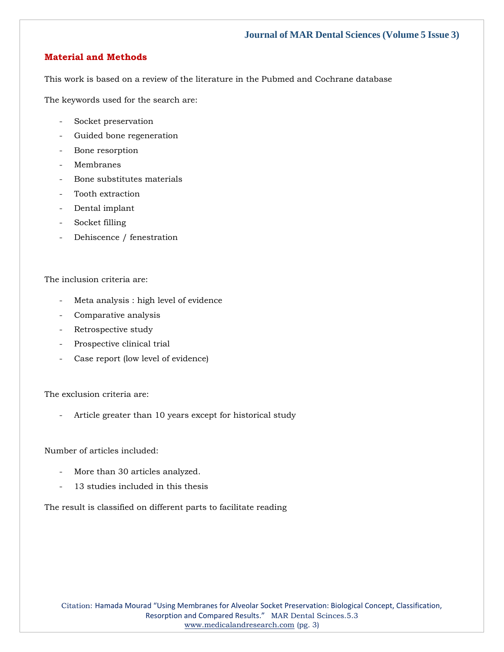## **Material and Methods**

This work is based on a review of the literature in the Pubmed and Cochrane database

The keywords used for the search are:

- Socket preservation
- Guided bone regeneration
- Bone resorption
- Membranes
- Bone substitutes materials
- Tooth extraction
- Dental implant
- Socket filling
- Dehiscence / fenestration

The inclusion criteria are:

- Meta analysis : high level of evidence
- Comparative analysis
- Retrospective study
- Prospective clinical trial
- Case report (low level of evidence)

The exclusion criteria are:

Article greater than 10 years except for historical study

Number of articles included:

- More than 30 articles analyzed.
- 13 studies included in this thesis

The result is classified on different parts to facilitate reading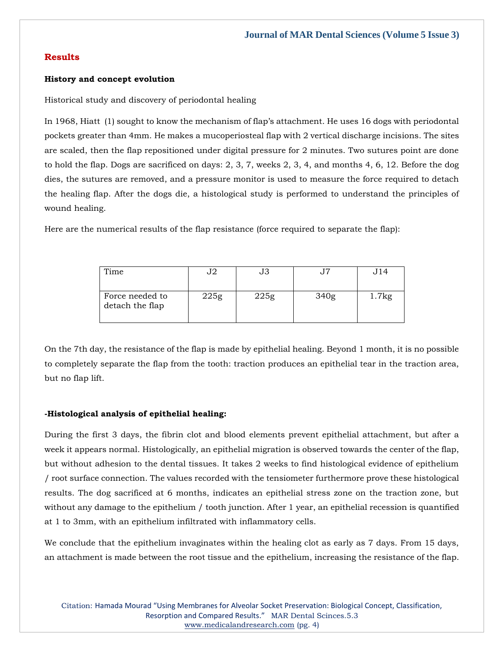## **Results**

#### **History and concept evolution**

Historical study and discovery of periodontal healing

In 1968, Hiatt (1) sought to know the mechanism of flap's attachment. He uses 16 dogs with periodontal pockets greater than 4mm. He makes a mucoperiosteal flap with 2 vertical discharge incisions. The sites are scaled, then the flap repositioned under digital pressure for 2 minutes. Two sutures point are done to hold the flap. Dogs are sacrificed on days: 2, 3, 7, weeks 2, 3, 4, and months 4, 6, 12. Before the dog dies, the sutures are removed, and a pressure monitor is used to measure the force required to detach the healing flap. After the dogs die, a histological study is performed to understand the principles of wound healing.

Here are the numerical results of the flap resistance (force required to separate the flap):

| Time                               | J2   | JЗ   |      | J14   |
|------------------------------------|------|------|------|-------|
| Force needed to<br>detach the flap | 225g | 225g | 340g | 1.7kg |

On the 7th day, the resistance of the flap is made by epithelial healing. Beyond 1 month, it is no possible to completely separate the flap from the tooth: traction produces an epithelial tear in the traction area, but no flap lift.

#### **-Histological analysis of epithelial healing:**

During the first 3 days, the fibrin clot and blood elements prevent epithelial attachment, but after a week it appears normal. Histologically, an epithelial migration is observed towards the center of the flap, but without adhesion to the dental tissues. It takes 2 weeks to find histological evidence of epithelium / root surface connection. The values recorded with the tensiometer furthermore prove these histological results. The dog sacrificed at 6 months, indicates an epithelial stress zone on the traction zone, but without any damage to the epithelium / tooth junction. After 1 year, an epithelial recession is quantified at 1 to 3mm, with an epithelium infiltrated with inflammatory cells.

We conclude that the epithelium invaginates within the healing clot as early as 7 days. From 15 days, an attachment is made between the root tissue and the epithelium, increasing the resistance of the flap.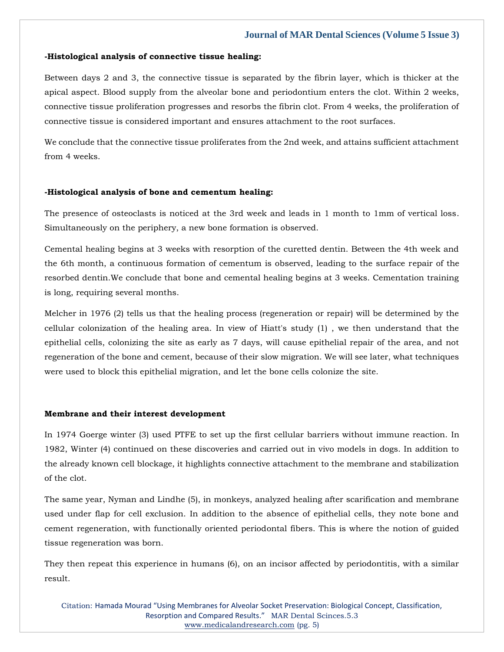#### **-Histological analysis of connective tissue healing:**

Between days 2 and 3, the connective tissue is separated by the fibrin layer, which is thicker at the apical aspect. Blood supply from the alveolar bone and periodontium enters the clot. Within 2 weeks, connective tissue proliferation progresses and resorbs the fibrin clot. From 4 weeks, the proliferation of connective tissue is considered important and ensures attachment to the root surfaces.

We conclude that the connective tissue proliferates from the 2nd week, and attains sufficient attachment from 4 weeks.

#### **-Histological analysis of bone and cementum healing:**

The presence of osteoclasts is noticed at the 3rd week and leads in 1 month to 1mm of vertical loss. Simultaneously on the periphery, a new bone formation is observed.

Cemental healing begins at 3 weeks with resorption of the curetted dentin. Between the 4th week and the 6th month, a continuous formation of cementum is observed, leading to the surface repair of the resorbed dentin.We conclude that bone and cemental healing begins at 3 weeks. Cementation training is long, requiring several months.

Melcher in 1976 (2) tells us that the healing process (regeneration or repair) will be determined by the cellular colonization of the healing area. In view of Hiatt's study (1) , we then understand that the epithelial cells, colonizing the site as early as 7 days, will cause epithelial repair of the area, and not regeneration of the bone and cement, because of their slow migration. We will see later, what techniques were used to block this epithelial migration, and let the bone cells colonize the site.

#### **Membrane and their interest development**

In 1974 Goerge winter (3) used PTFE to set up the first cellular barriers without immune reaction. In 1982, Winter (4) continued on these discoveries and carried out in vivo models in dogs. In addition to the already known cell blockage, it highlights connective attachment to the membrane and stabilization of the clot.

The same year, Nyman and Lindhe (5), in monkeys, analyzed healing after scarification and membrane used under flap for cell exclusion. In addition to the absence of epithelial cells, they note bone and cement regeneration, with functionally oriented periodontal fibers. This is where the notion of guided tissue regeneration was born.

They then repeat this experience in humans (6), on an incisor affected by periodontitis, with a similar result.

Citation: Hamada Mourad "Using Membranes for Alveolar Socket Preservation: Biological Concept, Classification, Resorption and Compared Results." MAR Dental Scinces.5.3 [www.medicalandresearch.com](http://www.medicalandresearch.com/) (pg. 5)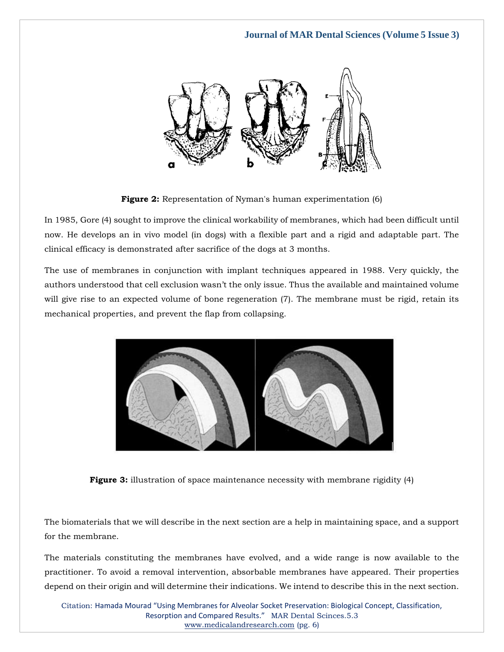

**Figure 2:** Representation of Nyman's human experimentation (6)

In 1985, Gore (4) sought to improve the clinical workability of membranes, which had been difficult until now. He develops an in vivo model (in dogs) with a flexible part and a rigid and adaptable part. The clinical efficacy is demonstrated after sacrifice of the dogs at 3 months.

The use of membranes in conjunction with implant techniques appeared in 1988. Very quickly, the authors understood that cell exclusion wasn't the only issue. Thus the available and maintained volume will give rise to an expected volume of bone regeneration (7). The membrane must be rigid, retain its mechanical properties, and prevent the flap from collapsing.



**Figure 3:** illustration of space maintenance necessity with membrane rigidity (4)

The biomaterials that we will describe in the next section are a help in maintaining space, and a support for the membrane.

The materials constituting the membranes have evolved, and a wide range is now available to the practitioner. To avoid a removal intervention, absorbable membranes have appeared. Their properties depend on their origin and will determine their indications. We intend to describe this in the next section.

Citation: Hamada Mourad "Using Membranes for Alveolar Socket Preservation: Biological Concept, Classification, Resorption and Compared Results." MAR Dental Scinces.5.3 [www.medicalandresearch.com](http://www.medicalandresearch.com/) (pg. 6)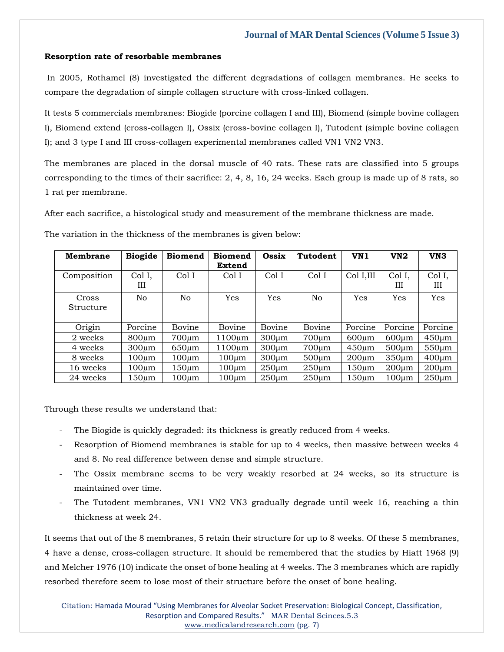### **Resorption rate of resorbable membranes**

In 2005, Rothamel (8) investigated the different degradations of collagen membranes. He seeks to compare the degradation of simple collagen structure with cross-linked collagen.

It tests 5 commercials membranes: Biogide (porcine collagen I and III), Biomend (simple bovine collagen I), Biomend extend (cross-collagen I), Ossix (cross-bovine collagen I), Tutodent (simple bovine collagen I); and 3 type I and III cross-collagen experimental membranes called VN1 VN2 VN3.

The membranes are placed in the dorsal muscle of 40 rats. These rats are classified into 5 groups corresponding to the times of their sacrifice: 2, 4, 8, 16, 24 weeks. Each group is made up of 8 rats, so 1 rat per membrane.

After each sacrifice, a histological study and measurement of the membrane thickness are made.

The variation in the thickness of the membranes is given below:

| Membrane    | <b>Biogide</b> | <b>Biomend</b> | <b>Biomend</b> | Ossix       | Tutodent       | VN <sub>1</sub> | VN2         | VN <sub>3</sub> |
|-------------|----------------|----------------|----------------|-------------|----------------|-----------------|-------------|-----------------|
|             |                |                | Extend         |             |                |                 |             |                 |
| Composition | Col I,<br>Ш    | ColI           | Col I          | Col I       | Col I          | Col I,III       | Col I,<br>Ш | Col I,<br>Ш     |
|             |                |                |                |             |                |                 |             |                 |
| Cross       | No             | N <sub>o</sub> | Yes            | <b>Yes</b>  | N <sub>o</sub> | Yes             | <b>Yes</b>  | Yes             |
| Structure   |                |                |                |             |                |                 |             |                 |
|             |                |                |                |             |                |                 |             |                 |
| Origin      | Porcine        | Bovine         | Bovine         | Bovine      | Bovine         | Porcine         | Porcine     | Porcine         |
| 2 weeks     | $800 \mu m$    | $700 \mu m$    | $1100 \mu m$   | $300 \mu m$ | $700 \mu m$    | $600 \mu m$     | $600 \mu m$ | $450 \mu m$     |
| 4 weeks     | $300 \mu m$    | $650 \mu m$    | 1100µm         | $300 \mu m$ | $700 \mu m$    | $450 \mu m$     | $500 \mu m$ | $550 \mu m$     |
| 8 weeks     | $100 \mu m$    | $100 \mu m$    | $100 \mu m$    | $300 \mu m$ | $500 \mu m$    | $200 \mu m$     | $350 \mu m$ | $400 \mu m$     |
| 16 weeks    | $100 \mu m$    | $150 \mu m$    | $100 \mu m$    | $250 \mu m$ | $250 \mu m$    | $150 \mu m$     | $200 \mu m$ | $200 \mu m$     |
| 24 weeks    | $150 \mu m$    | $100 \mu m$    | $100 \mu m$    | $250 \mu m$ | $250 \mu m$    | 150µm           | $100 \mu m$ | $250 \mu m$     |

Through these results we understand that:

- The Biogide is quickly degraded: its thickness is greatly reduced from 4 weeks.
- Resorption of Biomend membranes is stable for up to 4 weeks, then massive between weeks 4 and 8. No real difference between dense and simple structure.
- The Ossix membrane seems to be very weakly resorbed at 24 weeks, so its structure is maintained over time.
- The Tutodent membranes, VN1 VN2 VN3 gradually degrade until week 16, reaching a thin thickness at week 24.

It seems that out of the 8 membranes, 5 retain their structure for up to 8 weeks. Of these 5 membranes, 4 have a dense, cross-collagen structure. It should be remembered that the studies by Hiatt 1968 (9) and Melcher 1976 (10) indicate the onset of bone healing at 4 weeks. The 3 membranes which are rapidly resorbed therefore seem to lose most of their structure before the onset of bone healing.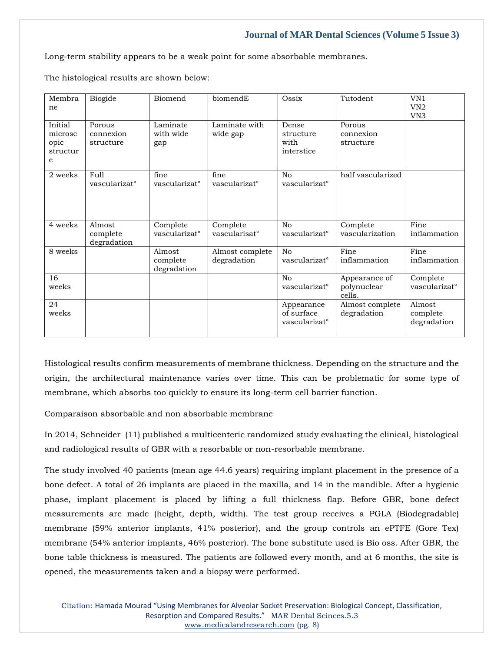Long-term stability appears to be a weak point for some absorbable membranes.

The histological results are shown below:

| Membra<br>ne                                | Biogide                           | Biomend                               | biomendE                              | Ossix                                                 | Tutodent                               | VN1<br>VN2<br>VN <sub>3</sub>         |
|---------------------------------------------|-----------------------------------|---------------------------------------|---------------------------------------|-------------------------------------------------------|----------------------------------------|---------------------------------------|
| Initial<br>microsc<br>opic<br>structur<br>e | Porous<br>connexion<br>structure  | Laminate<br>with wide<br>gap          | Laminate with<br>wide gap             | Dense<br>structure<br>with<br>interstice              | Porous<br>connexion<br>structure       |                                       |
| 2 weeks                                     | Full<br>vascularizat <sup>o</sup> | fine<br>vascularizat <sup>o</sup>     | fine<br>vascularizat <sup>o</sup>     | N <sub>o</sub><br>vascularizat <sup>o</sup>           | half vascularized                      |                                       |
| 4 weeks                                     | Almost<br>complete<br>degradation | Complete<br>vascularizat <sup>o</sup> | Complete<br>vascularisat <sup>o</sup> | N <sub>0</sub><br>vascularizat <sup>o</sup>           | Complete<br>vascularization            | Fine<br>inflammation                  |
| 8 weeks                                     |                                   | Almost<br>complete<br>degradation     | Almost complete<br>degradation        | No<br>vascularizat <sup>o</sup>                       | Fine<br>inflammation                   | Fine<br>inflammation                  |
| 16<br>weeks                                 |                                   |                                       |                                       | No<br>vascularizat <sup>o</sup>                       | Appearance of<br>polynuclear<br>cells. | Complete<br>vascularizat <sup>o</sup> |
| 24<br>weeks                                 |                                   |                                       |                                       | Appearance<br>of surface<br>vascularizat <sup>o</sup> | Almost complete<br>degradation         | Almost<br>complete<br>degradation     |

Histological results confirm measurements of membrane thickness. Depending on the structure and the origin, the architectural maintenance varies over time. This can be problematic for some type of membrane, which absorbs too quickly to ensure its long-term cell barrier function.

Comparaison absorbable and non absorbable membrane

In 2014, Schneider (11) published a multicenteric randomized study evaluating the clinical, histological and radiological results of GBR with a resorbable or non-resorbable membrane.

The study involved 40 patients (mean age 44.6 years) requiring implant placement in the presence of a bone defect. A total of 26 implants are placed in the maxilla, and 14 in the mandible. After a hygienic phase, implant placement is placed by lifting a full thickness flap. Before GBR, bone defect measurements are made (height, depth, width). The test group receives a PGLA (Biodegradable) membrane (59% anterior implants, 41% posterior), and the group controls an ePTFE (Gore Tex) membrane (54% anterior implants, 46% posterior). The bone substitute used is Bio oss. After GBR, the bone table thickness is measured. The patients are followed every month, and at 6 months, the site is opened, the measurements taken and a biopsy were performed.

Citation: Hamada Mourad "Using Membranes for Alveolar Socket Preservation: Biological Concept, Classification, Resorption and Compared Results." MAR Dental Scinces.5.3 [www.medicalandresearch.com](http://www.medicalandresearch.com/) (pg. 8)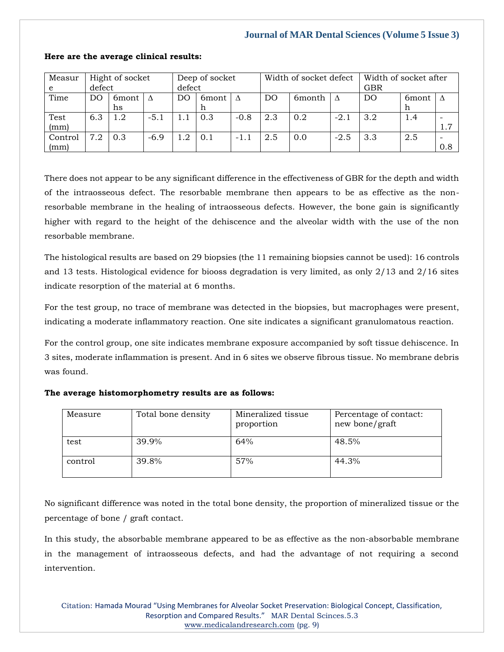| Measur<br>e     | Hight of socket<br>defect |               | Deep of socket<br>defect |     | Width of socket defect |        |     | Width of socket after<br><b>GBR</b> |        |     |            |     |
|-----------------|---------------------------|---------------|--------------------------|-----|------------------------|--------|-----|-------------------------------------|--------|-----|------------|-----|
| Time            | DΟ                        | 6mont<br>hs   | Δ                        | DΟ  | 6 <sub>mont</sub><br>h |        | DO  | 6 <sub>month</sub>                  |        | DO  | 6mont<br>h |     |
| Test<br>(mm)    | 6.3                       | $1.2^{\circ}$ | $-5.1$                   |     | 0.3                    | $-0.8$ | 2.3 | 0.2                                 | $-2.1$ | 3.2 | 1.4        | 1.7 |
| Control<br>(mm) | 7.2                       | 0.3           | $-6.9$                   | 1.2 | 0.1                    | $-1.1$ | 2.5 | 0.0                                 | $-2.5$ | 3.3 | 2.5        | 0.8 |

#### **Here are the average clinical results:**

There does not appear to be any significant difference in the effectiveness of GBR for the depth and width of the intraosseous defect. The resorbable membrane then appears to be as effective as the nonresorbable membrane in the healing of intraosseous defects. However, the bone gain is significantly higher with regard to the height of the dehiscence and the alveolar width with the use of the non resorbable membrane.

The histological results are based on 29 biopsies (the 11 remaining biopsies cannot be used): 16 controls and 13 tests. Histological evidence for biooss degradation is very limited, as only 2/13 and 2/16 sites indicate resorption of the material at 6 months.

For the test group, no trace of membrane was detected in the biopsies, but macrophages were present, indicating a moderate inflammatory reaction. One site indicates a significant granulomatous reaction.

For the control group, one site indicates membrane exposure accompanied by soft tissue dehiscence. In 3 sites, moderate inflammation is present. And in 6 sites we observe fibrous tissue. No membrane debris was found.

|  |  | The average histomorphometry results are as follows: |  |  |  |  |
|--|--|------------------------------------------------------|--|--|--|--|
|--|--|------------------------------------------------------|--|--|--|--|

| Measure | Total bone density | Mineralized tissue<br>proportion | Percentage of contact:<br>new bone/graft |
|---------|--------------------|----------------------------------|------------------------------------------|
| test    | 39.9%              | 64%                              | 48.5%                                    |
| control | 39.8%              | 57%                              | 44.3%                                    |

No significant difference was noted in the total bone density, the proportion of mineralized tissue or the percentage of bone / graft contact.

In this study, the absorbable membrane appeared to be as effective as the non-absorbable membrane in the management of intraosseous defects, and had the advantage of not requiring a second intervention.

Citation: Hamada Mourad "Using Membranes for Alveolar Socket Preservation: Biological Concept, Classification, Resorption and Compared Results." MAR Dental Scinces.5.3 [www.medicalandresearch.com](http://www.medicalandresearch.com/) (pg. 9)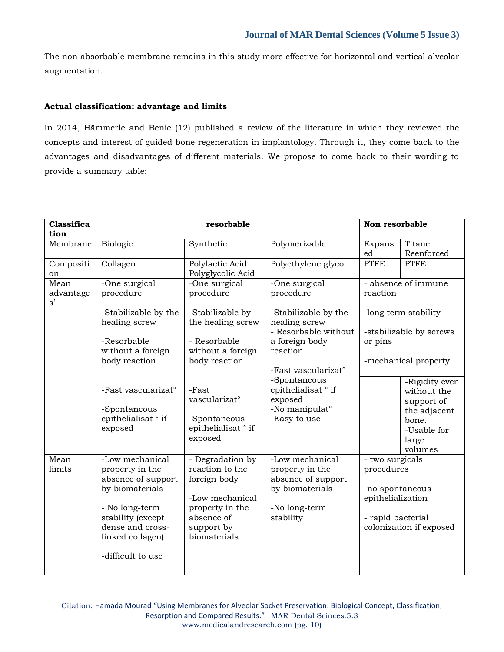The non absorbable membrane remains in this study more effective for horizontal and vertical alveolar augmentation.

## **Actual classification: advantage and limits**

In 2014, Hämmerle and Benic (12) published a review of the literature in which they reviewed the concepts and interest of guided bone regeneration in implantology. Through it, they come back to the advantages and disadvantages of different materials. We propose to come back to their wording to provide a summary table:

| <b>Classifica</b><br>tion |                                                                                                                                                                                 | resorbable                                                                                                                            |                                                                                                           | Non resorbable                                                                             |                                                          |
|---------------------------|---------------------------------------------------------------------------------------------------------------------------------------------------------------------------------|---------------------------------------------------------------------------------------------------------------------------------------|-----------------------------------------------------------------------------------------------------------|--------------------------------------------------------------------------------------------|----------------------------------------------------------|
| Membrane                  | Biologic                                                                                                                                                                        | Synthetic                                                                                                                             | Polymerizable                                                                                             | Expans<br>ed                                                                               | Titane<br>Reenforced                                     |
| Compositi<br>on           | Collagen                                                                                                                                                                        | Polylactic Acid<br>Polyglycolic Acid                                                                                                  | Polyethylene glycol                                                                                       | <b>PTFE</b>                                                                                | <b>PTFE</b>                                              |
| Mean<br>advantage<br>s'   | -One surgical<br>procedure                                                                                                                                                      | -One surgical<br>procedure                                                                                                            | -One surgical<br>procedure                                                                                | reaction                                                                                   | - absence of immune                                      |
|                           | -Stabilizable by the<br>healing screw                                                                                                                                           | -Stabilizable by<br>the healing screw                                                                                                 | -Stabilizable by the<br>healing screw<br>- Resorbable without                                             |                                                                                            | -long term stability<br>-stabilizable by screws          |
|                           | -Resorbable<br>without a foreign                                                                                                                                                | - Resorbable<br>without a foreign                                                                                                     | a foreign body<br>reaction                                                                                | or pins                                                                                    |                                                          |
|                           | body reaction                                                                                                                                                                   | body reaction                                                                                                                         | -Fast vascularizat°                                                                                       |                                                                                            | -mechanical property                                     |
|                           | -Fast vascularizat°<br>-Spontaneous                                                                                                                                             | -Fast<br>vascularizat°                                                                                                                | -Spontaneous<br>epithelialisat ° if<br>exposed<br>-No manipulat <sup>o</sup>                              |                                                                                            | -Rigidity even<br>without the<br>support of              |
|                           | epithelialisat ° if<br>exposed                                                                                                                                                  | -Spontaneous<br>epithelialisat ° if<br>exposed                                                                                        | -Easy to use                                                                                              |                                                                                            | the adjacent<br>bone.<br>-Usable for<br>large<br>volumes |
| Mean<br>limits            | -Low mechanical<br>property in the<br>absence of support<br>by biomaterials<br>- No long-term<br>stability (except<br>dense and cross-<br>linked collagen)<br>-difficult to use | - Degradation by<br>reaction to the<br>foreign body<br>-Low mechanical<br>property in the<br>absence of<br>support by<br>biomaterials | -Low mechanical<br>property in the<br>absence of support<br>by biomaterials<br>-No long-term<br>stability | - two surgicals<br>procedures<br>-no spontaneous<br>epithelialization<br>- rapid bacterial | colonization if exposed                                  |

Citation: Hamada Mourad "Using Membranes for Alveolar Socket Preservation: Biological Concept, Classification, Resorption and Compared Results." MAR Dental Scinces.5.3 [www.medicalandresearch.com](http://www.medicalandresearch.com/) (pg. 10)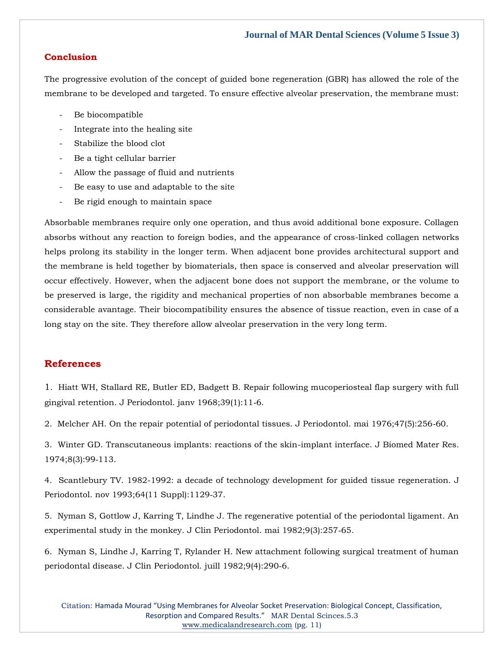### **Conclusion**

The progressive evolution of the concept of guided bone regeneration (GBR) has allowed the role of the membrane to be developed and targeted. To ensure effective alveolar preservation, the membrane must:

- Be biocompatible
- Integrate into the healing site
- Stabilize the blood clot
- Be a tight cellular barrier
- Allow the passage of fluid and nutrients
- Be easy to use and adaptable to the site
- Be rigid enough to maintain space

Absorbable membranes require only one operation, and thus avoid additional bone exposure. Collagen absorbs without any reaction to foreign bodies, and the appearance of cross-linked collagen networks helps prolong its stability in the longer term. When adjacent bone provides architectural support and the membrane is held together by biomaterials, then space is conserved and alveolar preservation will occur effectively. However, when the adjacent bone does not support the membrane, or the volume to be preserved is large, the rigidity and mechanical properties of non absorbable membranes become a considerable avantage. Their biocompatibility ensures the absence of tissue reaction, even in case of a long stay on the site. They therefore allow alveolar preservation in the very long term.

## **References**

1[. Hiatt WH, Stallard RE, Butler ED, Badgett B. Repair following mucoperiosteal flap surgery with full](https://www.google.com/search?q=Repair+following+mucoperiosteal+flap+surgery+with+full+gingival+retention&sxsrf=APq-WBtwFppYWxxiGss9BQQpf5At4yTktg%3A1647945526307&ei=Nqc5YvqsEuj7z7sPxPOQqA4&ved=0ahUKEwj6n9G9w9n2AhXo_XMBHcQ5BOUQ4dUDCA4&oq=Repair+following+mucoperiosteal+flap+surgery+with+full+gingival+retention&gs_lcp=Cgdnd3Mtd2l6EAwyBAgjECc6BwgjEOoCECdKBAhBGABKBAhGGABQiQJYiQJgmwpoAXABeACAAVuIAVuSAQExmAEAoAEBoAECsAEKwAEB&sclient=gws-wiz)  [gingival retention. J Periodontol. janv 1968;39\(1\):11](https://www.google.com/search?q=Repair+following+mucoperiosteal+flap+surgery+with+full+gingival+retention&sxsrf=APq-WBtwFppYWxxiGss9BQQpf5At4yTktg%3A1647945526307&ei=Nqc5YvqsEuj7z7sPxPOQqA4&ved=0ahUKEwj6n9G9w9n2AhXo_XMBHcQ5BOUQ4dUDCA4&oq=Repair+following+mucoperiosteal+flap+surgery+with+full+gingival+retention&gs_lcp=Cgdnd3Mtd2l6EAwyBAgjECc6BwgjEOoCECdKBAhBGABKBAhGGABQiQJYiQJgmwpoAXABeACAAVuIAVuSAQExmAEAoAEBoAECsAEKwAEB&sclient=gws-wiz)‑6.

[2. Melcher AH. On the repair potential of periodontal tissues. J Periodontol. mai 1976;47\(5\):256](https://www.google.com/search?q=On+the+repair+potential+of+periodontal+tissues.+&sxsrf=APq-WBvC-QPpky1FYwSvVNBagJcBHDa4sQ%3A1647945512465&ei=KKc5YtSBHK3Xz7sP6v6F-A4&ved=0ahUKEwjUtYS3w9n2AhWt63MBHWp_Ae8Q4dUDCA4&oq=On+the+repair+potential+of+periodontal+tissues.+&gs_lcp=Cgdnd3Mtd2l6EAwyBggAEBYQHjoHCCMQ6gIQJ0oECEEYAEoECEYYAFDRAVjRAWDACWgBcAB4AIABfYgBfZIBAzAuMZgBAKABAaABArABCsABAQ&sclient=gws-wiz)‑60.

[3. Winter GD. Transcutaneous implants: reactions of the skin-implant interface. J Biomed Mater Res.](https://www.google.com/search?q=Transcutaneous+implants%3A+reactions+of+the+skin-implant+interface&sxsrf=APq-WBvPP0YGRTiFfMLhXTka8TDHBTUetw%3A1647945492909&ei=FKc5Yo-PN7PWz7sPzra1-AY&ved=0ahUKEwiP6dqtw9n2AhUz63MBHU5bDW8Q4dUDCA4&oq=Transcutaneous+implants%3A+reactions+of+the+skin-implant+interface&gs_lcp=Cgdnd3Mtd2l6EAwyBwgjEOoCECcyBwgjEOoCECcyBwgjEOoCECcyBwgjEOoCECcyBwgjEOoCECcyBwgjEOoCECcyBwgjEOoCECcyBwgjEOoCECcyBwgjEOoCECcyBwgjEOoCECdKBAhBGABKBAhGGABQkQFYkQFgpQdoAXAAeACAAQCIAQCSAQCYAQCgAQGgAQKwAQrAAQE&sclient=gws-wiz)  [1974;8\(3\):99](https://www.google.com/search?q=Transcutaneous+implants%3A+reactions+of+the+skin-implant+interface&sxsrf=APq-WBvPP0YGRTiFfMLhXTka8TDHBTUetw%3A1647945492909&ei=FKc5Yo-PN7PWz7sPzra1-AY&ved=0ahUKEwiP6dqtw9n2AhUz63MBHU5bDW8Q4dUDCA4&oq=Transcutaneous+implants%3A+reactions+of+the+skin-implant+interface&gs_lcp=Cgdnd3Mtd2l6EAwyBwgjEOoCECcyBwgjEOoCECcyBwgjEOoCECcyBwgjEOoCECcyBwgjEOoCECcyBwgjEOoCECcyBwgjEOoCECcyBwgjEOoCECcyBwgjEOoCECcyBwgjEOoCECdKBAhBGABKBAhGGABQkQFYkQFgpQdoAXAAeACAAQCIAQCSAQCYAQCgAQGgAQKwAQrAAQE&sclient=gws-wiz)‑113.

[4. Scantlebury TV. 1982-1992: a decade of technology development for guided tissue regeneration. J](https://www.google.com/search?q=.+1982-1992%3A+a+decade+of+technology+development+for+guided+tissue+regeneration.+J+Periodontol.+&sxsrf=APq-WBvnkWn1c8jcaRQm1L-J4-93an5KOg%3A1647945470610&ei=_qY5Yvj1JNvSz7sP4eeC2AY&ved=0ahUKEwj47Imjw9n2AhVb6XMBHeGzAGsQ4dUDCA4&oq=.+1982-1992%3A+a+decade+of+technology+development+for+guided+tissue+regeneration.+J+Periodontol.+&gs_lcp=Cgdnd3Mtd2l6EAw6BwgjEOoCECdKBAhBGABKBAhGGABQiQdYiQdg2AtoAXAAeACAAWGIAWGSAQExmAEAoAEBoAECsAEKwAEB&sclient=gws-wiz)  [Periodontol. nov 1993;64\(11 Suppl\):1129](https://www.google.com/search?q=.+1982-1992%3A+a+decade+of+technology+development+for+guided+tissue+regeneration.+J+Periodontol.+&sxsrf=APq-WBvnkWn1c8jcaRQm1L-J4-93an5KOg%3A1647945470610&ei=_qY5Yvj1JNvSz7sP4eeC2AY&ved=0ahUKEwj47Imjw9n2AhVb6XMBHeGzAGsQ4dUDCA4&oq=.+1982-1992%3A+a+decade+of+technology+development+for+guided+tissue+regeneration.+J+Periodontol.+&gs_lcp=Cgdnd3Mtd2l6EAw6BwgjEOoCECdKBAhBGABKBAhGGABQiQdYiQdg2AtoAXAAeACAAWGIAWGSAQExmAEAoAEBoAECsAEKwAEB&sclient=gws-wiz)‑37.

[5. Nyman S, Gottlow J, Karring T, Lindhe J. The regenerative potential of the periodontal ligament. An](https://www.google.com/search?q=+The+regenerative+potential+of+the+periodontal+ligament.+An+experimental+study+in+the+monkey&sxsrf=APq-WBu5yogoMZU67DqJmgD8AamxE8Pv3g%3A1647945452513&ei=7KY5YrT1Hpjjz7sPw9-e8A8&ved=0ahUKEwi0m7maw9n2AhWY8XMBHcOvB_4Q4dUDCA4&oq=+The+regenerative+potential+of+the+periodontal+ligament.+An+experimental+study+in+the+monkey&gs_lcp=Cgdnd3Mtd2l6EAw6BwgjEOoCECdKBAhBGABKBAhGGABQjQJYjQJg-AloAXAAeACAAWmIAWmSAQMwLjGYAQCgAQGgAQKwAQrAAQE&sclient=gws-wiz)  [experimental study in the monkey. J Clin Periodontol. mai 1982;9\(3\):257](https://www.google.com/search?q=+The+regenerative+potential+of+the+periodontal+ligament.+An+experimental+study+in+the+monkey&sxsrf=APq-WBu5yogoMZU67DqJmgD8AamxE8Pv3g%3A1647945452513&ei=7KY5YrT1Hpjjz7sPw9-e8A8&ved=0ahUKEwi0m7maw9n2AhWY8XMBHcOvB_4Q4dUDCA4&oq=+The+regenerative+potential+of+the+periodontal+ligament.+An+experimental+study+in+the+monkey&gs_lcp=Cgdnd3Mtd2l6EAw6BwgjEOoCECdKBAhBGABKBAhGGABQjQJYjQJg-AloAXAAeACAAWmIAWmSAQMwLjGYAQCgAQGgAQKwAQrAAQE&sclient=gws-wiz)‑65.

[6. Nyman S, Lindhe J, Karring T, Rylander H. New attachment following surgical treatment of human](https://www.google.com/search?q=New+attachment+following+surgical+treatment+of+human+periodontal+disease.+&sxsrf=APq-WBvAfZZfViKLhzuOTdevQRUUbrKDFg%3A1647945428932&ei=1KY5YorHOIzhz7sPhe-9yA4&ved=0ahUKEwiKgZqPw9n2AhWM8HMBHYV3D-kQ4dUDCA4&oq=New+attachment+following+surgical+treatment+of+human+periodontal+disease.+&gs_lcp=Cgdnd3Mtd2l6EAwyBggAEBYQHjoHCCMQ6gIQJ0oECEEYAEoECEYYAFCPAliPAmDqCWgBcAB4AIABcYgBcZIBAzAuMZgBAKABAaABArABCsABAQ&sclient=gws-wiz)  [periodontal disease. J Clin Periodontol. juill 1982;9\(4\):290](https://www.google.com/search?q=New+attachment+following+surgical+treatment+of+human+periodontal+disease.+&sxsrf=APq-WBvAfZZfViKLhzuOTdevQRUUbrKDFg%3A1647945428932&ei=1KY5YorHOIzhz7sPhe-9yA4&ved=0ahUKEwiKgZqPw9n2AhWM8HMBHYV3D-kQ4dUDCA4&oq=New+attachment+following+surgical+treatment+of+human+periodontal+disease.+&gs_lcp=Cgdnd3Mtd2l6EAwyBggAEBYQHjoHCCMQ6gIQJ0oECEEYAEoECEYYAFCPAliPAmDqCWgBcAB4AIABcYgBcZIBAzAuMZgBAKABAaABArABCsABAQ&sclient=gws-wiz)‑6.